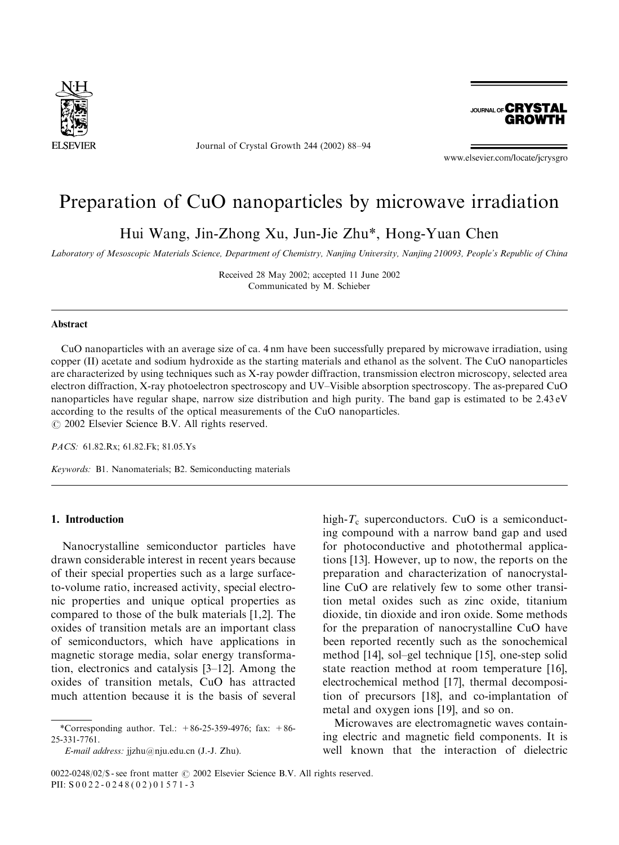

Journal of Crystal Growth 244 (2002) 88–94



www.elsevier.com/locate/jcrysgro

# Preparation of CuO nanoparticles by microwave irradiation

Hui Wang, Jin-Zhong Xu, Jun-Jie Zhu\*, Hong-Yuan Chen

Laboratory of Mesoscopic Materials Science, Department of Chemistry, Nanjing University, Nanjing 210093, People's Republic of China

Received 28 May 2002; accepted 11 June 2002 Communicated by M. Schieber

#### Abstract

CuO nanoparticles with an average size of ca. 4 nm have been successfully prepared by microwave irradiation, using copper (II) acetate and sodium hydroxide as the starting materials and ethanol as the solvent. The CuO nanoparticles are characterized by using techniques such as X-ray powder diffraction, transmission electron microscopy, selected area electron diffraction, X-ray photoelectron spectroscopy and UV–Visible absorption spectroscopy. The as-prepared CuO nanoparticles have regular shape, narrow size distribution and high purity. The band gap is estimated to be 2.43 eV according to the results of the optical measurements of the CuO nanoparticles.  $\odot$  2002 Elsevier Science B.V. All rights reserved.

PACS: 61.82.Rx; 61.82.Fk; 81.05.Ys

Keywords: B1. Nanomaterials; B2. Semiconducting materials

#### 1. Introduction

Nanocrystalline semiconductor particles have drawn considerable interest in recent years because of their special properties such as a large surfaceto-volume ratio, increased activity, special electronic properties and unique optical properties as compared to those of the bulk materials [1,2]. The oxides of transition metals are an important class of semiconductors, which have applications in magnetic storage media, solar energy transformation, electronics and catalysis [3–12]. Among the oxides of transition metals, CuO has attracted much attention because it is the basis of several

high- $T_c$  superconductors. CuO is a semiconducting compound with a narrow band gap and used for photoconductive and photothermal applications [13]. However, up to now, the reports on the preparation and characterization of nanocrystalline CuO are relatively few to some other transition metal oxides such as zinc oxide, titanium dioxide, tin dioxide and iron oxide. Some methods for the preparation of nanocrystalline CuO have been reported recently such as the sonochemical method [14], sol–gel technique [15], one-step solid state reaction method at room temperature [16], electrochemical method [17], thermal decomposition of precursors [18], and co-implantation of metal and oxygen ions [19], and so on.

Microwaves are electromagnetic waves containing electric and magnetic field components. It is well known that the interaction of dielectric

<sup>\*</sup>Corresponding author. Tel.:  $+86-25-359-4976$ ; fax:  $+86-$ 25-331-7761.

E-mail address: jjzhu@nju.edu.cn (J.-J. Zhu).

 $0022-0248/02$ /\$ - see front matter  $\odot$  2002 Elsevier Science B.V. All rights reserved. PII: S 0022-0248(02)01571-3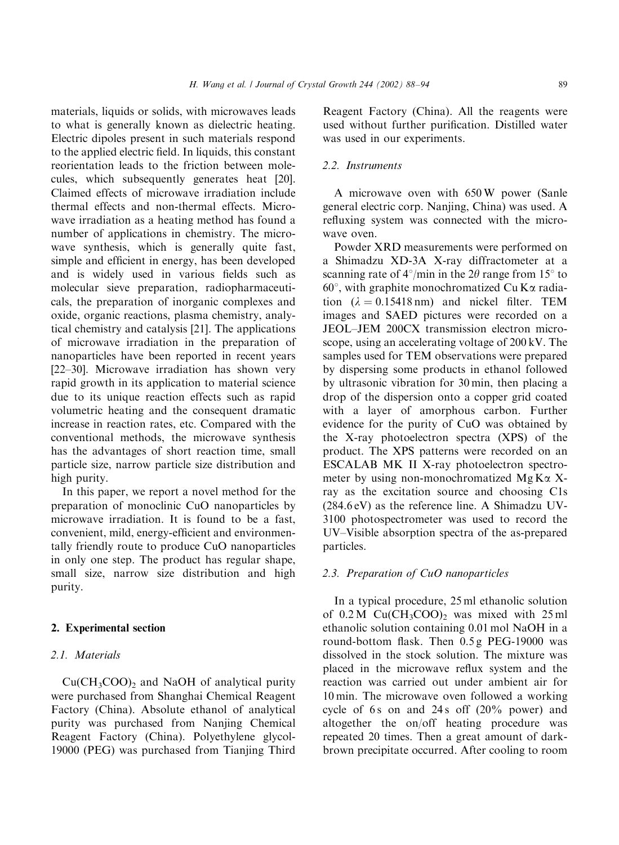materials, liquids or solids, with microwaves leads to what is generally known as dielectric heating. Electric dipoles present in such materials respond to the applied electric field. In liquids, this constant reorientation leads to the friction between molecules, which subsequently generates heat [20]. Claimed effects of microwave irradiation include thermal effects and non-thermal effects. Microwave irradiation as a heating method has found a number of applications in chemistry. The microwave synthesis, which is generally quite fast, simple and efficient in energy, has been developed and is widely used in various fields such as molecular sieve preparation, radiopharmaceuticals, the preparation of inorganic complexes and oxide, organic reactions, plasma chemistry, analytical chemistry and catalysis [21]. The applications of microwave irradiation in the preparation of nanoparticles have been reported in recent years [22–30]. Microwave irradiation has shown very rapid growth in its application to material science due to its unique reaction effects such as rapid volumetric heating and the consequent dramatic increase in reaction rates, etc. Compared with the conventional methods, the microwave synthesis has the advantages of short reaction time, small particle size, narrow particle size distribution and high purity.

In this paper, we report a novel method for the preparation of monoclinic CuO nanoparticles by microwave irradiation. It is found to be a fast, convenient, mild, energy-efficient and environmentally friendly route to produce CuO nanoparticles in only one step. The product has regular shape, small size, narrow size distribution and high purity.

### 2. Experimental section

## 2.1. Materials

 $Cu(CH<sub>3</sub>COO)<sub>2</sub>$  and NaOH of analytical purity were purchased from Shanghai Chemical Reagent Factory (China). Absolute ethanol of analytical purity was purchased from Nanjing Chemical Reagent Factory (China). Polyethylene glycol-19000 (PEG) was purchased from Tianjing Third

Reagent Factory (China). All the reagents were used without further purification. Distilled water was used in our experiments.

## 2.2. Instruments

A microwave oven with 650 W power (Sanle general electric corp. Nanjing, China) was used. A refluxing system was connected with the microwave oven.

Powder XRD measurements were performed on a Shimadzu XD-3A X-ray diffractometer at a scanning rate of  $4^{\circ}/\text{min}$  in the 2 $\theta$  range from 15<sup>°</sup> to  $60^\circ$ , with graphite monochromatized Cu K $\alpha$  radiation  $(\lambda = 0.15418 \text{ nm})$  and nickel filter. TEM images and SAED pictures were recorded on a JEOL–JEM 200CX transmission electron microscope, using an accelerating voltage of 200 kV. The samples used for TEM observations were prepared by dispersing some products in ethanol followed by ultrasonic vibration for 30 min, then placing a drop of the dispersion onto a copper grid coated with a layer of amorphous carbon. Further evidence for the purity of CuO was obtained by the X-ray photoelectron spectra (XPS) of the product. The XPS patterns were recorded on an ESCALAB MK II X-ray photoelectron spectrometer by using non-monochromatized  $MgK\alpha X$ ray as the excitation source and choosing C1s (284.6 eV) as the reference line. A Shimadzu UV-3100 photospectrometer was used to record the UV–Visible absorption spectra of the as-prepared particles.

#### 2.3. Preparation of CuO nanoparticles

In a typical procedure, 25 ml ethanolic solution of  $0.2 M$  Cu(CH<sub>3</sub>COO)<sub>2</sub> was mixed with  $25 ml$ ethanolic solution containing 0.01 mol NaOH in a round-bottom flask. Then 0.5 g PEG-19000 was dissolved in the stock solution. The mixture was placed in the microwave reflux system and the reaction was carried out under ambient air for 10 min. The microwave oven followed a working cycle of  $6s$  on and  $24s$  off  $(20\%$  power) and altogether the on/off heating procedure was repeated 20 times. Then a great amount of darkbrown precipitate occurred. After cooling to room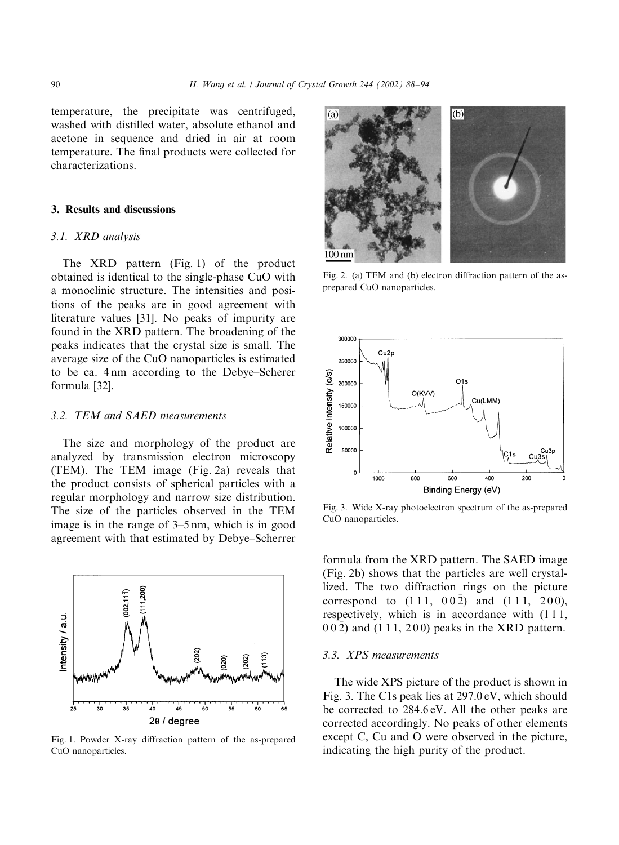temperature, the precipitate was centrifuged, washed with distilled water, absolute ethanol and acetone in sequence and dried in air at room temperature. The final products were collected for characterizations.

#### 3. Results and discussions

#### 3.1. XRD analysis

The XRD pattern (Fig. 1) of the product obtained is identical to the single-phase CuO with a monoclinic structure. The intensities and positions of the peaks are in good agreement with literature values [31]. No peaks of impurity are found in the XRD pattern. The broadening of the peaks indicates that the crystal size is small. The average size of the CuO nanoparticles is estimated to be ca. 4 nm according to the Debye–Scherer formula [32].

## 3.2. TEM and SAED measurements

The size and morphology of the product are analyzed by transmission electron microscopy (TEM). The TEM image (Fig. 2a) reveals that the product consists of spherical particles with a regular morphology and narrow size distribution. The size of the particles observed in the TEM image is in the range of 3–5 nm, which is in good agreement with that estimated by Debye–Scherrer



Fig. 1. Powder X-ray diffraction pattern of the as-prepared CuO nanoparticles.



Fig. 2. (a) TEM and (b) electron diffraction pattern of the asprepared CuO nanoparticles.



Fig. 3. Wide X-ray photoelectron spectrum of the as-prepared CuO nanoparticles.

formula from the XRD pattern. The SAED image (Fig. 2b) shows that the particles are well crystallized. The two diffraction rings on the picture correspond to  $(111, 00\overline{2})$  and  $(111, 200)$ , respectively, which is in accordance with  $(111)$ ,  $00\overline{2}$ ) and (111, 200) peaks in the XRD pattern.

### 3.3. XPS measurements

The wide XPS picture of the product is shown in Fig. 3. The C1s peak lies at 297.0 eV, which should be corrected to 284.6 eV. All the other peaks are corrected accordingly. No peaks of other elements except C, Cu and O were observed in the picture, indicating the high purity of the product.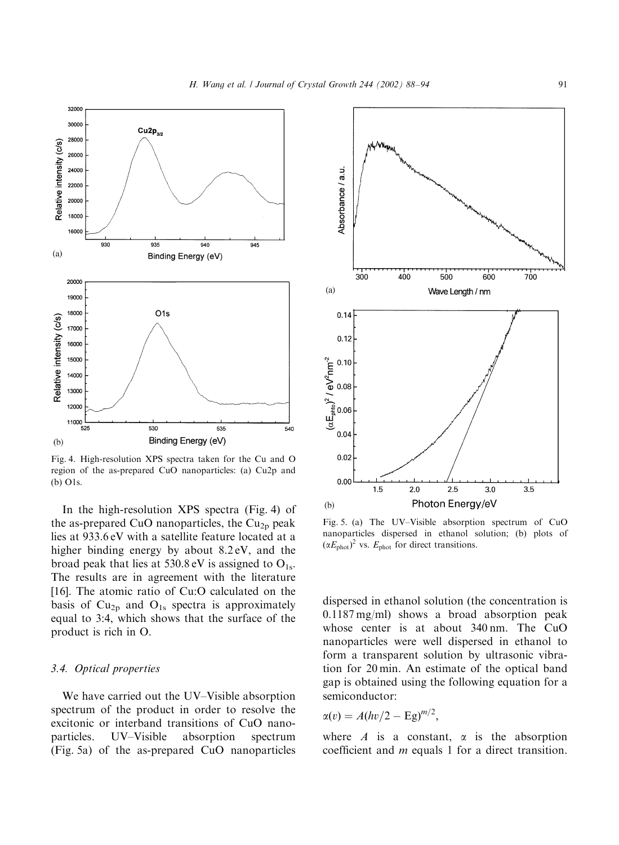

Fig. 4. High-resolution XPS spectra taken for the Cu and O region of the as-prepared CuO nanoparticles: (a) Cu2p and (b) O1s.

In the high-resolution XPS spectra (Fig. 4) of the as-prepared CuO nanoparticles, the  $Cu<sub>2p</sub>$  peak lies at 933.6 eV with a satellite feature located at a higher binding energy by about 8.2 eV, and the broad peak that lies at 530.8 eV is assigned to  $O_{1s}$ . The results are in agreement with the literature [16]. The atomic ratio of Cu:O calculated on the basis of  $Cu<sub>2p</sub>$  and  $O<sub>1s</sub>$  spectra is approximately equal to 3:4, which shows that the surface of the product is rich in O.

#### 3.4. Optical properties

We have carried out the UV–Visible absorption spectrum of the product in order to resolve the excitonic or interband transitions of CuO nanoparticles. UV–Visible absorption spectrum (Fig. 5a) of the as-prepared CuO nanoparticles



Fig. 5. (a) The UV–Visible absorption spectrum of CuO nanoparticles dispersed in ethanol solution; (b) plots of  $(\alpha E_{phot})^2$  vs.  $E_{phot}$  for direct transitions.

dispersed in ethanol solution (the concentration is 0.1187 mg/ml) shows a broad absorption peak whose center is at about 340 nm. The CuO nanoparticles were well dispersed in ethanol to form a transparent solution by ultrasonic vibration for 20 min. An estimate of the optical band gap is obtained using the following equation for a semiconductor:

$$
\alpha(v) = A(hv/2 - Eg)^{m/2},
$$

where A is a constant,  $\alpha$  is the absorption coefficient and m equals 1 for a direct transition.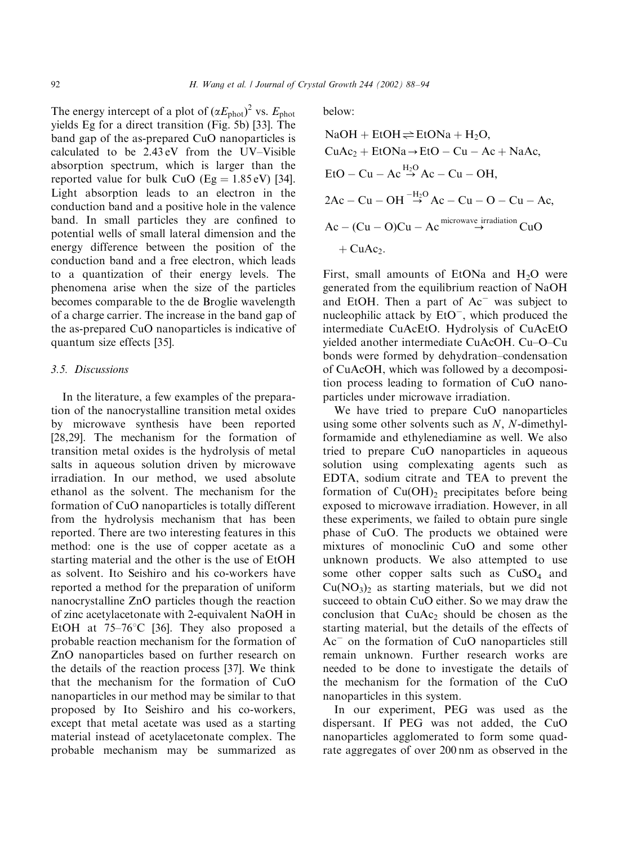The energy intercept of a plot of  $(\alpha E_{\text{phot}})^2$  vs.  $E_{\text{phot}}$ yields Eg for a direct transition (Fig. 5b) [33]. The band gap of the as-prepared CuO nanoparticles is calculated to be 2.43 eV from the UV–Visible absorption spectrum, which is larger than the reported value for bulk CuO (Eg =  $1.85 \text{ eV}$ ) [34]. Light absorption leads to an electron in the conduction band and a positive hole in the valence band. In small particles they are confined to potential wells of small lateral dimension and the energy difference between the position of the conduction band and a free electron, which leads to a quantization of their energy levels. The phenomena arise when the size of the particles becomes comparable to the de Broglie wavelength of a charge carrier. The increase in the band gap of the as-prepared CuO nanoparticles is indicative of quantum size effects [35].

#### 3.5. Discussions

In the literature, a few examples of the preparation of the nanocrystalline transition metal oxides by microwave synthesis have been reported [28,29]. The mechanism for the formation of transition metal oxides is the hydrolysis of metal salts in aqueous solution driven by microwave irradiation. In our method, we used absolute ethanol as the solvent. The mechanism for the formation of CuO nanoparticles is totally different from the hydrolysis mechanism that has been reported. There are two interesting features in this method: one is the use of copper acetate as a starting material and the other is the use of EtOH as solvent. Ito Seishiro and his co-workers have reported a method for the preparation of uniform nanocrystalline ZnO particles though the reaction of zinc acetylacetonate with 2-equivalent NaOH in EtOH at  $75-76$ °C [36]. They also proposed a probable reaction mechanism for the formation of ZnO nanoparticles based on further research on the details of the reaction process [37]. We think that the mechanism for the formation of CuO nanoparticles in our method may be similar to that proposed by Ito Seishiro and his co-workers, except that metal acetate was used as a starting material instead of acetylacetonate complex. The probable mechanism may be summarized as below:

NaOH + EtOH 
$$
\rightleftharpoons
$$
 EtONA + H<sub>2</sub>O,  
\nCuAc<sub>2</sub> + EtONA  $\rightarrow$  EtO – Cu – Ac + NaAc,  
\nEtO – Cu – Ac  $\stackrel{H_2O}{\rightarrow}$ Ac – Cu – OH,  
\n2Ac – Cu – OH  $\stackrel{-H_2O}{\rightarrow}$ Ac – Cu – O – Cu – Ac,  
\nAc – (Cu – O)Cu – Ac  $\stackrel{\text{microwave irradiation}}{\rightarrow}$  CuO  
\n+ CuAc<sub>2</sub>.

First, small amounts of EtONa and  $H_2O$  were generated from the equilibrium reaction of NaOH and EtOH. Then a part of  $Ac$  was subject to nucleophilic attack by  $E<sub>1</sub>O<sup>-</sup>$ , which produced the intermediate CuAcEtO. Hydrolysis of CuAcEtO yielded another intermediate CuAcOH. Cu–O–Cu bonds were formed by dehydration–condensation of CuAcOH, which was followed by a decomposition process leading to formation of CuO nanoparticles under microwave irradiation.

We have tried to prepare CuO nanoparticles using some other solvents such as  $N$ ,  $N$ -dimethylformamide and ethylenediamine as well. We also tried to prepare CuO nanoparticles in aqueous solution using complexating agents such as EDTA, sodium citrate and TEA to prevent the formation of  $Cu(OH)_2$  precipitates before being exposed to microwave irradiation. However, in all these experiments, we failed to obtain pure single phase of CuO. The products we obtained were mixtures of monoclinic CuO and some other unknown products. We also attempted to use some other copper salts such as CuSO<sub>4</sub> and  $Cu(NO<sub>3</sub>)<sub>2</sub>$  as starting materials, but we did not succeed to obtain CuO either. So we may draw the conclusion that  $CuAc<sub>2</sub>$  should be chosen as the starting material, but the details of the effects of  $Ac$ <sup> $-$ </sup> on the formation of CuO nanoparticles still remain unknown. Further research works are needed to be done to investigate the details of the mechanism for the formation of the CuO nanoparticles in this system.

In our experiment, PEG was used as the dispersant. If PEG was not added, the CuO nanoparticles agglomerated to form some quadrate aggregates of over 200 nm as observed in the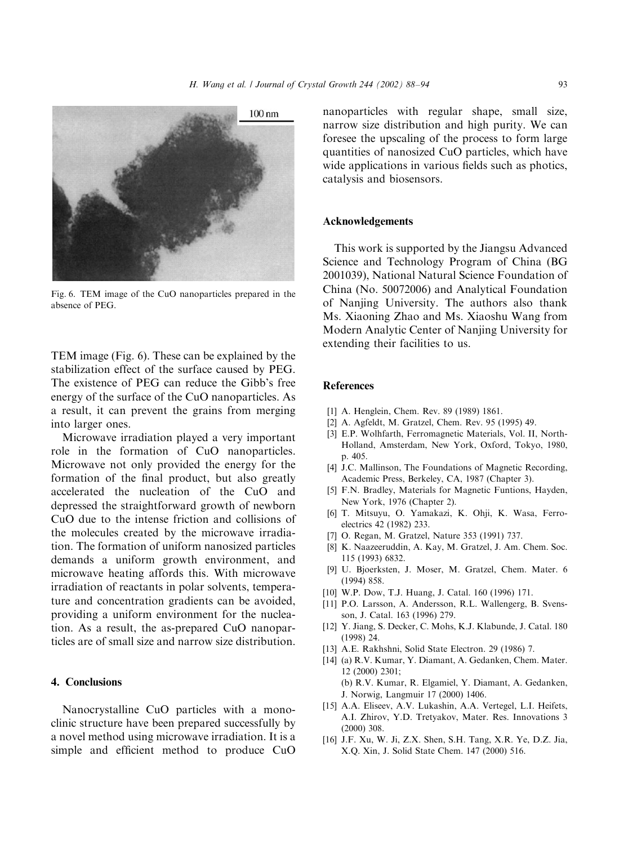

Fig. 6. TEM image of the CuO nanoparticles prepared in the absence of PEG.

TEM image (Fig. 6). These can be explained by the stabilization effect of the surface caused by PEG. The existence of PEG can reduce the Gibb's free energy of the surface of the CuO nanoparticles. As a result, it can prevent the grains from merging into larger ones.

Microwave irradiation played a very important role in the formation of CuO nanoparticles. Microwave not only provided the energy for the formation of the final product, but also greatly accelerated the nucleation of the CuO and depressed the straightforward growth of newborn CuO due to the intense friction and collisions of the molecules created by the microwave irradiation. The formation of uniform nanosized particles demands a uniform growth environment, and microwave heating affords this. With microwave irradiation of reactants in polar solvents, temperature and concentration gradients can be avoided, providing a uniform environment for the nucleation. As a result, the as-prepared CuO nanoparticles are of small size and narrow size distribution.

## 4. Conclusions

Nanocrystalline CuO particles with a monoclinic structure have been prepared successfully by a novel method using microwave irradiation. It is a simple and efficient method to produce CuO nanoparticles with regular shape, small size, narrow size distribution and high purity. We can foresee the upscaling of the process to form large quantities of nanosized CuO particles, which have wide applications in various fields such as photics, catalysis and biosensors.

#### Acknowledgements

This work is supported by the Jiangsu Advanced Science and Technology Program of China (BG 2001039), National Natural Science Foundation of China (No. 50072006) and Analytical Foundation of Nanjing University. The authors also thank Ms. Xiaoning Zhao and Ms. Xiaoshu Wang from Modern Analytic Center of Nanjing University for extending their facilities to us.

#### References

- [1] A. Henglein, Chem. Rev. 89 (1989) 1861.
- [2] A. Agfeldt, M. Gratzel, Chem. Rev. 95 (1995) 49.
- [3] E.P. Wolhfarth, Ferromagnetic Materials, Vol. II, North-Holland, Amsterdam, New York, Oxford, Tokyo, 1980, p. 405.
- [4] J.C. Mallinson, The Foundations of Magnetic Recording, Academic Press, Berkeley, CA, 1987 (Chapter 3).
- [5] F.N. Bradley, Materials for Magnetic Funtions, Hayden, New York, 1976 (Chapter 2).
- [6] T. Mitsuyu, O. Yamakazi, K. Ohji, K. Wasa, Ferroelectrics 42 (1982) 233.
- [7] O. Regan, M. Gratzel, Nature 353 (1991) 737.
- [8] K. Naazeeruddin, A. Kay, M. Gratzel, J. Am. Chem. Soc. 115 (1993) 6832.
- [9] U. Bjoerksten, J. Moser, M. Gratzel, Chem. Mater. 6 (1994) 858.
- [10] W.P. Dow, T.J. Huang, J. Catal. 160 (1996) 171.
- [11] P.O. Larsson, A. Andersson, R.L. Wallengerg, B. Svensson, J. Catal. 163 (1996) 279.
- [12] Y. Jiang, S. Decker, C. Mohs, K.J. Klabunde, J. Catal. 180 (1998) 24.
- [13] A.E. Rakhshni, Solid State Electron. 29 (1986) 7.
- [14] (a) R.V. Kumar, Y. Diamant, A. Gedanken, Chem. Mater. 12 (2000) 2301; (b) R.V. Kumar, R. Elgamiel, Y. Diamant, A. Gedanken,
- J. Norwig, Langmuir 17 (2000) 1406. [15] A.A. Eliseev, A.V. Lukashin, A.A. Vertegel, L.I. Heifets, A.I. Zhirov, Y.D. Tretyakov, Mater. Res. Innovations 3 (2000) 308.
- [16] J.F. Xu, W. Ji, Z.X. Shen, S.H. Tang, X.R. Ye, D.Z. Jia, X.Q. Xin, J. Solid State Chem. 147 (2000) 516.